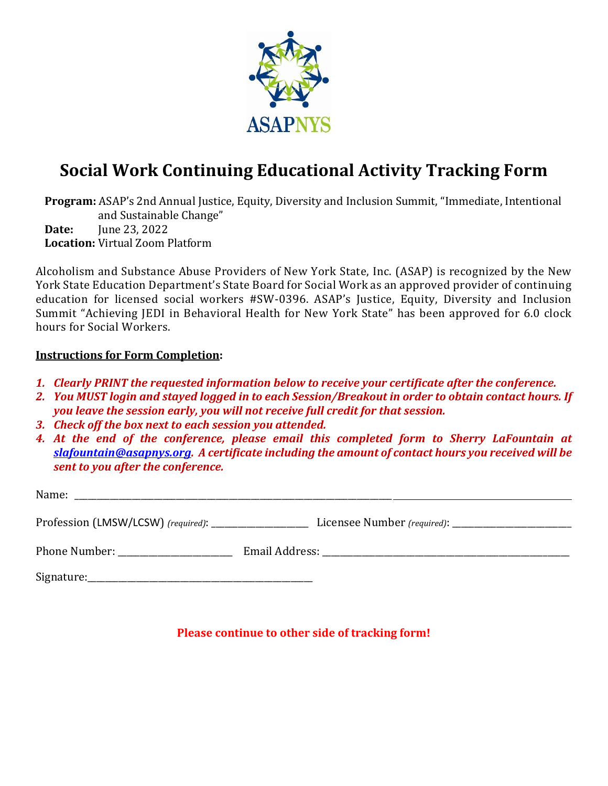

## **Social Work Continuing Educational Activity Tracking Form**

**Program:** ASAP's 2nd Annual Justice, Equity, Diversity and Inclusion Summit, "Immediate, Intentional and Sustainable Change" **Date:** June 23, 2022 **Location:** Virtual Zoom Platform

Alcoholism and Substance Abuse Providers of New York State, Inc. (ASAP) is recognized by the New York State Education Department's State Board for Social Work as an approved provider of continuing education for licensed social workers #SW-0396. ASAP's Justice, Equity, Diversity and Inclusion Summit "Achieving JEDI in Behavioral Health for New York State" has been approved for 6.0 clock hours for Social Workers.

## **Instructions for Form Completion:**

- *1. Clearly PRINT the requested information below to receive your certificate after the conference.*
- *2. You MUST login and stayed logged in to each Session/Breakout in order to obtain contact hours. If you leave the session early, you will not receive full credit for that session.*
- *3. Check off the box next to each session you attended.*
- *4. At the end of the conference, please email this completed form to Sherry LaFountain at [slafountain@asapnys.org.](mailto:slafountain@asapnys.org) A certificate including the amount of contact hours you received will be sent to you after the conference.*

| Name:                                                                                                                                                                                                                          |  |
|--------------------------------------------------------------------------------------------------------------------------------------------------------------------------------------------------------------------------------|--|
|                                                                                                                                                                                                                                |  |
| Phone Number: The School of The School and The School and The School and The School and The School and The School and The School and The School and The School and The School and The School and The School and The School and |  |
| Signature:                                                                                                                                                                                                                     |  |

**Please continue to other side of tracking form!**